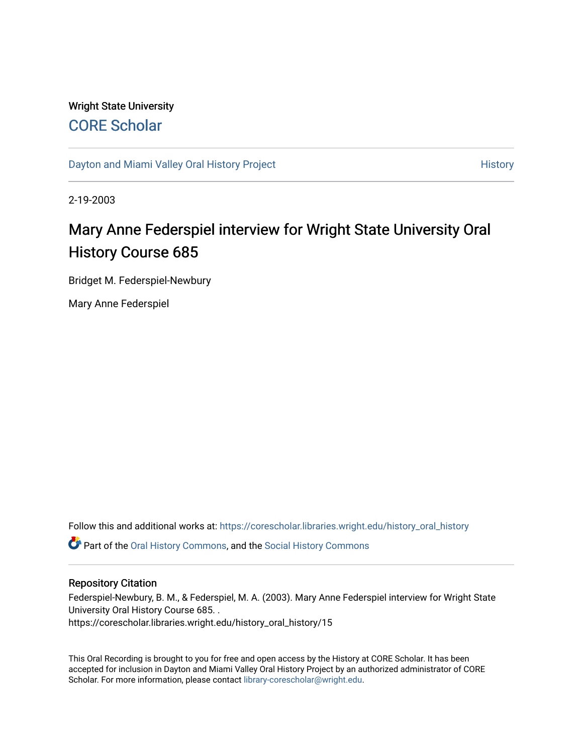## Wright State University [CORE Scholar](https://corescholar.libraries.wright.edu/)

[Dayton and Miami Valley Oral History Project](https://corescholar.libraries.wright.edu/history_oral_history) **History** History

2-19-2003

# Mary Anne Federspiel interview for Wright State University Oral History Course 685

Bridget M. Federspiel-Newbury

Mary Anne Federspiel

Follow this and additional works at: [https://corescholar.libraries.wright.edu/history\\_oral\\_history](https://corescholar.libraries.wright.edu/history_oral_history?utm_source=corescholar.libraries.wright.edu%2Fhistory_oral_history%2F15&utm_medium=PDF&utm_campaign=PDFCoverPages) 

**C** Part of the [Oral History Commons](http://network.bepress.com/hgg/discipline/1195?utm_source=corescholar.libraries.wright.edu%2Fhistory_oral_history%2F15&utm_medium=PDF&utm_campaign=PDFCoverPages), and the [Social History Commons](http://network.bepress.com/hgg/discipline/506?utm_source=corescholar.libraries.wright.edu%2Fhistory_oral_history%2F15&utm_medium=PDF&utm_campaign=PDFCoverPages)

#### Repository Citation

Federspiel-Newbury, B. M., & Federspiel, M. A. (2003). Mary Anne Federspiel interview for Wright State University Oral History Course 685. . https://corescholar.libraries.wright.edu/history\_oral\_history/15

This Oral Recording is brought to you for free and open access by the History at CORE Scholar. It has been accepted for inclusion in Dayton and Miami Valley Oral History Project by an authorized administrator of CORE Scholar. For more information, please contact [library-corescholar@wright.edu](mailto:library-corescholar@wright.edu).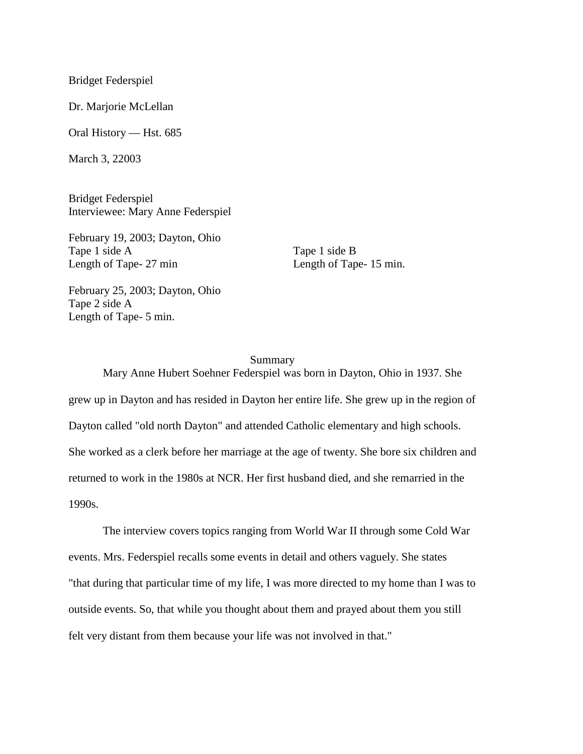Bridget Federspiel

Dr. Marjorie McLellan

Oral History — Hst. 685

March 3, 22003

Bridget Federspiel Interviewee: Mary Anne Federspiel

February 19, 2003; Dayton, Ohio Tape 1 side A Length of Tape- 27 min

Tape 1 side B Length of Tape- 15 min.

February 25, 2003; Dayton, Ohio Tape 2 side A Length of Tape- 5 min.

#### Summary

Mary Anne Hubert Soehner Federspiel was born in Dayton, Ohio in 1937. She grew up in Dayton and has resided in Dayton her entire life. She grew up in the region of Dayton called "old north Dayton" and attended Catholic elementary and high schools. She worked as a clerk before her marriage at the age of twenty. She bore six children and returned to work in the 1980s at NCR. Her first husband died, and she remarried in the 1990s.

The interview covers topics ranging from World War II through some Cold War events. Mrs. Federspiel recalls some events in detail and others vaguely. She states "that during that particular time of my life, I was more directed to my home than I was to outside events. So, that while you thought about them and prayed about them you still felt very distant from them because your life was not involved in that."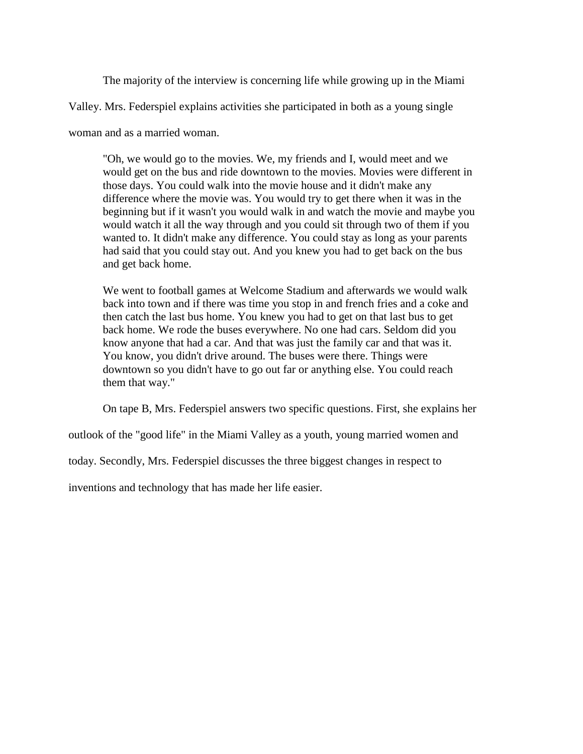The majority of the interview is concerning life while growing up in the Miami

Valley. Mrs. Federspiel explains activities she participated in both as a young single

woman and as a married woman.

"Oh, we would go to the movies. We, my friends and I, would meet and we would get on the bus and ride downtown to the movies. Movies were different in those days. You could walk into the movie house and it didn't make any difference where the movie was. You would try to get there when it was in the beginning but if it wasn't you would walk in and watch the movie and maybe you would watch it all the way through and you could sit through two of them if you wanted to. It didn't make any difference. You could stay as long as your parents had said that you could stay out. And you knew you had to get back on the bus and get back home.

We went to football games at Welcome Stadium and afterwards we would walk back into town and if there was time you stop in and french fries and a coke and then catch the last bus home. You knew you had to get on that last bus to get back home. We rode the buses everywhere. No one had cars. Seldom did you know anyone that had a car. And that was just the family car and that was it. You know, you didn't drive around. The buses were there. Things were downtown so you didn't have to go out far or anything else. You could reach them that way."

On tape B, Mrs. Federspiel answers two specific questions. First, she explains her

outlook of the "good life" in the Miami Valley as a youth, young married women and

today. Secondly, Mrs. Federspiel discusses the three biggest changes in respect to

inventions and technology that has made her life easier.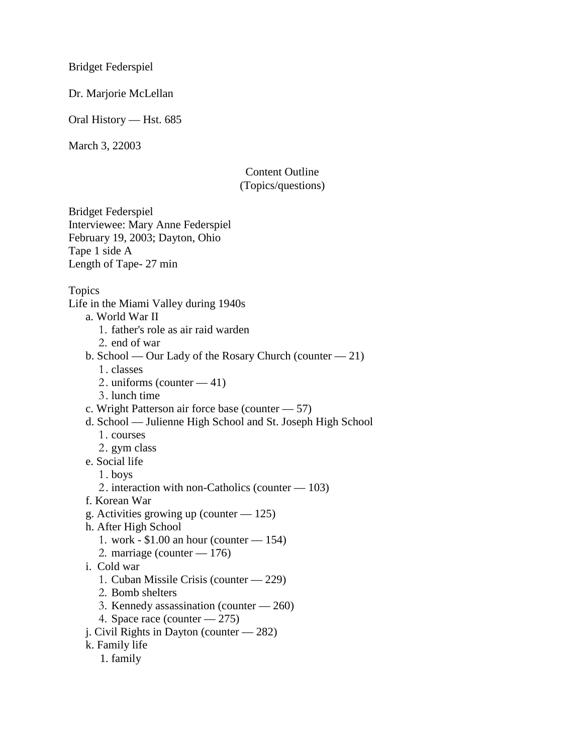Bridget Federspiel

Dr. Marjorie McLellan

Oral History — Hst. 685

March 3, 22003

## Content Outline (Topics/questions)

Bridget Federspiel Interviewee: Mary Anne Federspiel February 19, 2003; Dayton, Ohio Tape 1 side A Length of Tape- 27 min

Topics

Life in the Miami Valley during 1940s

a. World War II

- 1. father's role as air raid warden
- 2. end of war
- b. School Our Lady of the Rosary Church (counter 21)
	- 1. classes
	- 2. uniforms (counter 41)
	- 3. lunch time
- c. Wright Patterson air force base (counter 57)
- d. School Julienne High School and St. Joseph High School
	- 1. courses
	- 2. gym class
- e. Social life
	- 1 . boys
	- 2 . interaction with non-Catholics (counter 103)
- f. Korean War
- g. Activities growing up (counter  $-125$ )
- h. After High School
	- 1. work \$1.00 an hour (counter 154)
	- 2. marriage (counter 176)
- i. Cold war
	- 1. Cuban Missile Crisis (counter 229)
	- 2. Bomb shelters
	- 3. Kennedy assassination (counter 260)
	- 4. Space race (counter 275)
- j. Civil Rights in Dayton (counter 282)
- k. Family life
	- 1. family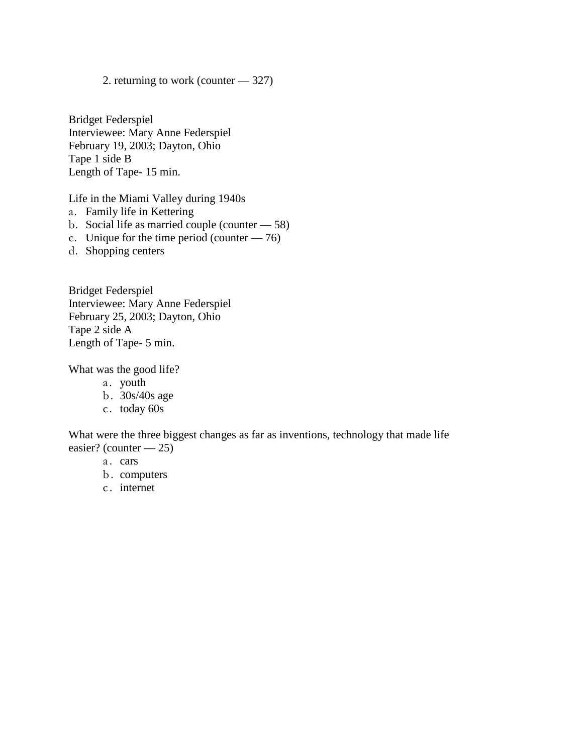2. returning to work (counter — 327)

Bridget Federspiel Interviewee: Mary Anne Federspiel February 19, 2003; Dayton, Ohio Tape 1 side B Length of Tape- 15 min.

Life in the Miami Valley during 1940s

- a. Family life in Kettering
- b. Social life as married couple (counter 58)
- c. Unique for the time period (counter  $-76$ )
- d. Shopping centers

Bridget Federspiel Interviewee: Mary Anne Federspiel February 25, 2003; Dayton, Ohio Tape 2 side A Length of Tape- 5 min.

What was the good life?

- a. youth
- b . 30s/40s age
- c. today 60s

What were the three biggest changes as far as inventions, technology that made life easier? (counter — 25)

- a. cars
- b. computers
- c. internet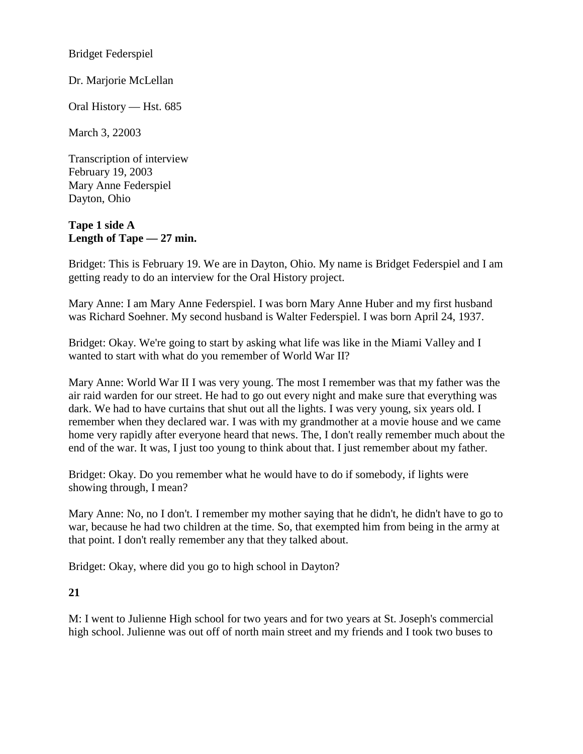Bridget Federspiel

Dr. Marjorie McLellan

Oral History — Hst. 685

March 3, 22003

Transcription of interview February 19, 2003 Mary Anne Federspiel Dayton, Ohio

## **Tape 1 side A Length of Tape — 27 min.**

Bridget: This is February 19. We are in Dayton, Ohio. My name is Bridget Federspiel and I am getting ready to do an interview for the Oral History project.

Mary Anne: I am Mary Anne Federspiel. I was born Mary Anne Huber and my first husband was Richard Soehner. My second husband is Walter Federspiel. I was born April 24, 1937.

Bridget: Okay. We're going to start by asking what life was like in the Miami Valley and I wanted to start with what do you remember of World War II?

Mary Anne: World War II I was very young. The most I remember was that my father was the air raid warden for our street. He had to go out every night and make sure that everything was dark. We had to have curtains that shut out all the lights. I was very young, six years old. I remember when they declared war. I was with my grandmother at a movie house and we came home very rapidly after everyone heard that news. The, I don't really remember much about the end of the war. It was, I just too young to think about that. I just remember about my father.

Bridget: Okay. Do you remember what he would have to do if somebody, if lights were showing through, I mean?

Mary Anne: No, no I don't. I remember my mother saying that he didn't, he didn't have to go to war, because he had two children at the time. So, that exempted him from being in the army at that point. I don't really remember any that they talked about.

Bridget: Okay, where did you go to high school in Dayton?

## **21**

M: I went to Julienne High school for two years and for two years at St. Joseph's commercial high school. Julienne was out off of north main street and my friends and I took two buses to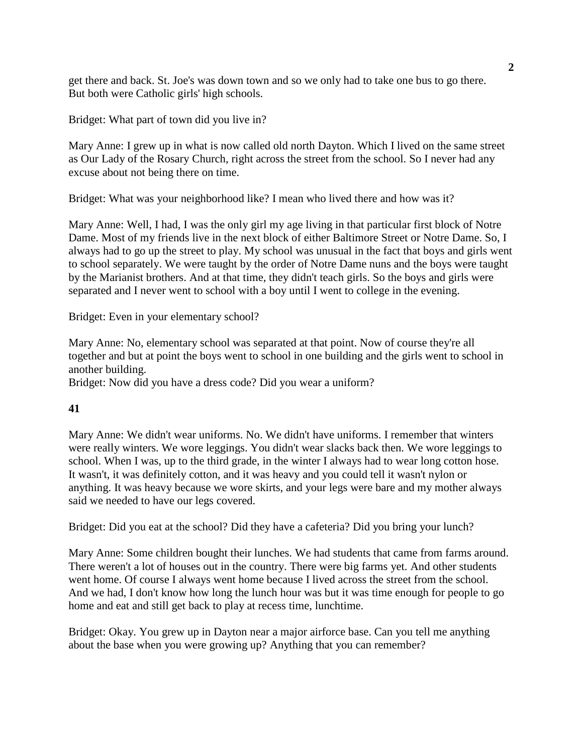get there and back. St. Joe's was down town and so we only had to take one bus to go there. But both were Catholic girls' high schools.

Bridget: What part of town did you live in?

Mary Anne: I grew up in what is now called old north Dayton. Which I lived on the same street as Our Lady of the Rosary Church, right across the street from the school. So I never had any excuse about not being there on time.

Bridget: What was your neighborhood like? I mean who lived there and how was it?

Mary Anne: Well, I had, I was the only girl my age living in that particular first block of Notre Dame. Most of my friends live in the next block of either Baltimore Street or Notre Dame. So, I always had to go up the street to play. My school was unusual in the fact that boys and girls went to school separately. We were taught by the order of Notre Dame nuns and the boys were taught by the Marianist brothers. And at that time, they didn't teach girls. So the boys and girls were separated and I never went to school with a boy until I went to college in the evening.

Bridget: Even in your elementary school?

Mary Anne: No, elementary school was separated at that point. Now of course they're all together and but at point the boys went to school in one building and the girls went to school in another building.

Bridget: Now did you have a dress code? Did you wear a uniform?

#### **41**

Mary Anne: We didn't wear uniforms. No. We didn't have uniforms. I remember that winters were really winters. We wore leggings. You didn't wear slacks back then. We wore leggings to school. When I was, up to the third grade, in the winter I always had to wear long cotton hose. It wasn't, it was definitely cotton, and it was heavy and you could tell it wasn't nylon or anything. It was heavy because we wore skirts, and your legs were bare and my mother always said we needed to have our legs covered.

Bridget: Did you eat at the school? Did they have a cafeteria? Did you bring your lunch?

Mary Anne: Some children bought their lunches. We had students that came from farms around. There weren't a lot of houses out in the country. There were big farms yet. And other students went home. Of course I always went home because I lived across the street from the school. And we had, I don't know how long the lunch hour was but it was time enough for people to go home and eat and still get back to play at recess time, lunchtime.

Bridget: Okay. You grew up in Dayton near a major airforce base. Can you tell me anything about the base when you were growing up? Anything that you can remember?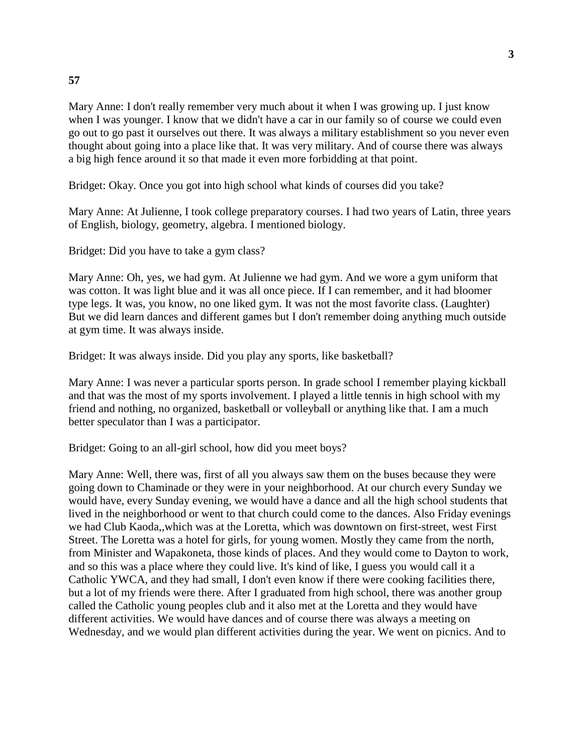Mary Anne: I don't really remember very much about it when I was growing up. I just know when I was younger. I know that we didn't have a car in our family so of course we could even go out to go past it ourselves out there. It was always a military establishment so you never even thought about going into a place like that. It was very military. And of course there was always a big high fence around it so that made it even more forbidding at that point.

Bridget: Okay. Once you got into high school what kinds of courses did you take?

Mary Anne: At Julienne, I took college preparatory courses. I had two years of Latin, three years of English, biology, geometry, algebra. I mentioned biology.

Bridget: Did you have to take a gym class?

Mary Anne: Oh, yes, we had gym. At Julienne we had gym. And we wore a gym uniform that was cotton. It was light blue and it was all once piece. If I can remember, and it had bloomer type legs. It was, you know, no one liked gym. It was not the most favorite class. (Laughter) But we did learn dances and different games but I don't remember doing anything much outside at gym time. It was always inside.

Bridget: It was always inside. Did you play any sports, like basketball?

Mary Anne: I was never a particular sports person. In grade school I remember playing kickball and that was the most of my sports involvement. I played a little tennis in high school with my friend and nothing, no organized, basketball or volleyball or anything like that. I am a much better speculator than I was a participator.

Bridget: Going to an all-girl school, how did you meet boys?

Mary Anne: Well, there was, first of all you always saw them on the buses because they were going down to Chaminade or they were in your neighborhood. At our church every Sunday we would have, every Sunday evening, we would have a dance and all the high school students that lived in the neighborhood or went to that church could come to the dances. Also Friday evenings we had Club Kaoda,,which was at the Loretta, which was downtown on first-street, west First Street. The Loretta was a hotel for girls, for young women. Mostly they came from the north, from Minister and Wapakoneta, those kinds of places. And they would come to Dayton to work, and so this was a place where they could live. It's kind of like, I guess you would call it a Catholic YWCA, and they had small, I don't even know if there were cooking facilities there, but a lot of my friends were there. After I graduated from high school, there was another group called the Catholic young peoples club and it also met at the Loretta and they would have different activities. We would have dances and of course there was always a meeting on Wednesday, and we would plan different activities during the year. We went on picnics. And to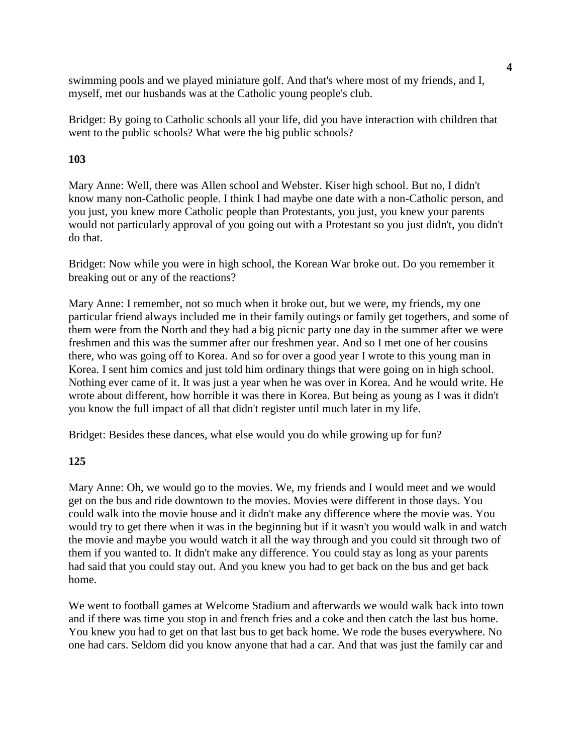swimming pools and we played miniature golf. And that's where most of my friends, and I, myself, met our husbands was at the Catholic young people's club.

Bridget: By going to Catholic schools all your life, did you have interaction with children that went to the public schools? What were the big public schools?

## **103**

Mary Anne: Well, there was Allen school and Webster. Kiser high school. But no, I didn't know many non-Catholic people. I think I had maybe one date with a non-Catholic person, and you just, you knew more Catholic people than Protestants, you just, you knew your parents would not particularly approval of you going out with a Protestant so you just didn't, you didn't do that.

Bridget: Now while you were in high school, the Korean War broke out. Do you remember it breaking out or any of the reactions?

Mary Anne: I remember, not so much when it broke out, but we were, my friends, my one particular friend always included me in their family outings or family get togethers, and some of them were from the North and they had a big picnic party one day in the summer after we were freshmen and this was the summer after our freshmen year. And so I met one of her cousins there, who was going off to Korea. And so for over a good year I wrote to this young man in Korea. I sent him comics and just told him ordinary things that were going on in high school. Nothing ever came of it. It was just a year when he was over in Korea. And he would write. He wrote about different, how horrible it was there in Korea. But being as young as I was it didn't you know the full impact of all that didn't register until much later in my life.

Bridget: Besides these dances, what else would you do while growing up for fun?

#### **125**

Mary Anne: Oh, we would go to the movies. We, my friends and I would meet and we would get on the bus and ride downtown to the movies. Movies were different in those days. You could walk into the movie house and it didn't make any difference where the movie was. You would try to get there when it was in the beginning but if it wasn't you would walk in and watch the movie and maybe you would watch it all the way through and you could sit through two of them if you wanted to. It didn't make any difference. You could stay as long as your parents had said that you could stay out. And you knew you had to get back on the bus and get back home.

We went to football games at Welcome Stadium and afterwards we would walk back into town and if there was time you stop in and french fries and a coke and then catch the last bus home. You knew you had to get on that last bus to get back home. We rode the buses everywhere. No one had cars. Seldom did you know anyone that had a car. And that was just the family car and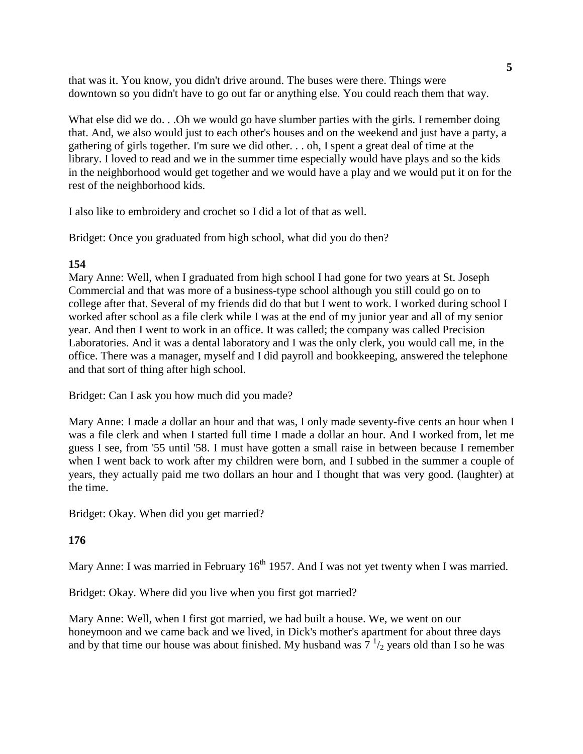that was it. You know, you didn't drive around. The buses were there. Things were downtown so you didn't have to go out far or anything else. You could reach them that way.

What else did we do. . .Oh we would go have slumber parties with the girls. I remember doing that. And, we also would just to each other's houses and on the weekend and just have a party, a gathering of girls together. I'm sure we did other. . . oh, I spent a great deal of time at the library. I loved to read and we in the summer time especially would have plays and so the kids in the neighborhood would get together and we would have a play and we would put it on for the rest of the neighborhood kids.

I also like to embroidery and crochet so I did a lot of that as well.

Bridget: Once you graduated from high school, what did you do then?

## **154**

Mary Anne: Well, when I graduated from high school I had gone for two years at St. Joseph Commercial and that was more of a business-type school although you still could go on to college after that. Several of my friends did do that but I went to work. I worked during school I worked after school as a file clerk while I was at the end of my junior year and all of my senior year. And then I went to work in an office. It was called; the company was called Precision Laboratories. And it was a dental laboratory and I was the only clerk, you would call me, in the office. There was a manager, myself and I did payroll and bookkeeping, answered the telephone and that sort of thing after high school.

Bridget: Can I ask you how much did you made?

Mary Anne: I made a dollar an hour and that was, I only made seventy-five cents an hour when I was a file clerk and when I started full time I made a dollar an hour. And I worked from, let me guess I see, from '55 until '58. I must have gotten a small raise in between because I remember when I went back to work after my children were born, and I subbed in the summer a couple of years, they actually paid me two dollars an hour and I thought that was very good. (laughter) at the time.

Bridget: Okay. When did you get married?

**176**

Mary Anne: I was married in February  $16<sup>th</sup> 1957$ . And I was not yet twenty when I was married.

Bridget: Okay. Where did you live when you first got married?

Mary Anne: Well, when I first got married, we had built a house. We, we went on our honeymoon and we came back and we lived, in Dick's mother's apartment for about three days and by that time our house was about finished. My husband was  $7^{1/2}$  years old than I so he was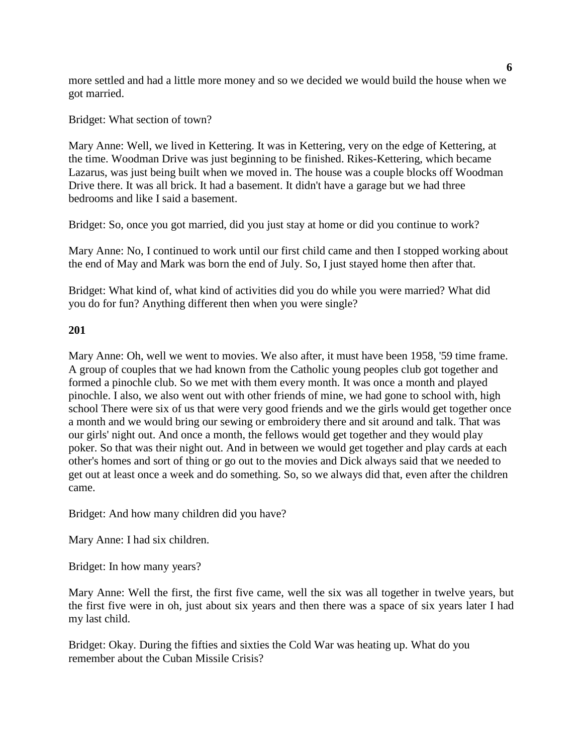more settled and had a little more money and so we decided we would build the house when we got married.

Bridget: What section of town?

Mary Anne: Well, we lived in Kettering. It was in Kettering, very on the edge of Kettering, at the time. Woodman Drive was just beginning to be finished. Rikes-Kettering, which became Lazarus, was just being built when we moved in. The house was a couple blocks off Woodman Drive there. It was all brick. It had a basement. It didn't have a garage but we had three bedrooms and like I said a basement.

Bridget: So, once you got married, did you just stay at home or did you continue to work?

Mary Anne: No, I continued to work until our first child came and then I stopped working about the end of May and Mark was born the end of July. So, I just stayed home then after that.

Bridget: What kind of, what kind of activities did you do while you were married? What did you do for fun? Anything different then when you were single?

#### **201**

Mary Anne: Oh, well we went to movies. We also after, it must have been 1958, '59 time frame. A group of couples that we had known from the Catholic young peoples club got together and formed a pinochle club. So we met with them every month. It was once a month and played pinochle. I also, we also went out with other friends of mine, we had gone to school with, high school There were six of us that were very good friends and we the girls would get together once a month and we would bring our sewing or embroidery there and sit around and talk. That was our girls' night out. And once a month, the fellows would get together and they would play poker. So that was their night out. And in between we would get together and play cards at each other's homes and sort of thing or go out to the movies and Dick always said that we needed to get out at least once a week and do something. So, so we always did that, even after the children came.

Bridget: And how many children did you have?

Mary Anne: I had six children.

Bridget: In how many years?

Mary Anne: Well the first, the first five came, well the six was all together in twelve years, but the first five were in oh, just about six years and then there was a space of six years later I had my last child.

Bridget: Okay. During the fifties and sixties the Cold War was heating up. What do you remember about the Cuban Missile Crisis?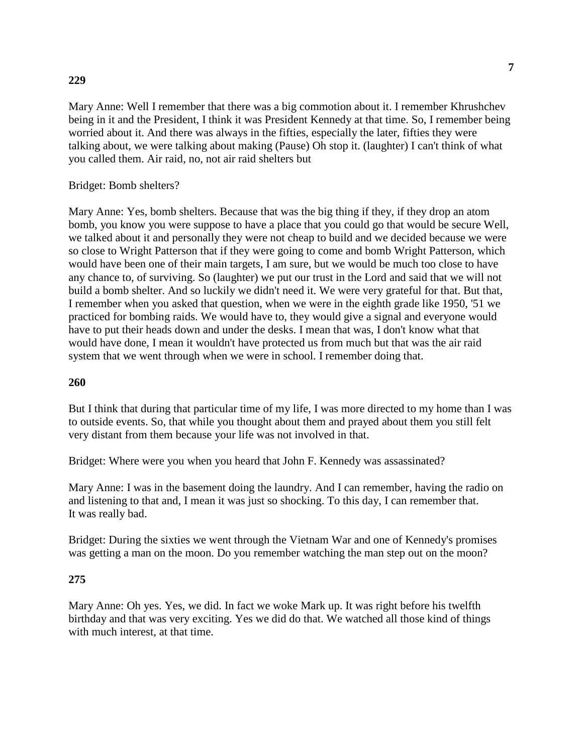#### **229**

Mary Anne: Well I remember that there was a big commotion about it. I remember Khrushchev being in it and the President, I think it was President Kennedy at that time. So, I remember being worried about it. And there was always in the fifties, especially the later, fifties they were talking about, we were talking about making (Pause) Oh stop it. (laughter) I can't think of what you called them. Air raid, no, not air raid shelters but

Bridget: Bomb shelters?

Mary Anne: Yes, bomb shelters. Because that was the big thing if they, if they drop an atom bomb, you know you were suppose to have a place that you could go that would be secure Well, we talked about it and personally they were not cheap to build and we decided because we were so close to Wright Patterson that if they were going to come and bomb Wright Patterson, which would have been one of their main targets, I am sure, but we would be much too close to have any chance to, of surviving. So (laughter) we put our trust in the Lord and said that we will not build a bomb shelter. And so luckily we didn't need it. We were very grateful for that. But that, I remember when you asked that question, when we were in the eighth grade like 1950, '51 we practiced for bombing raids. We would have to, they would give a signal and everyone would have to put their heads down and under the desks. I mean that was, I don't know what that would have done, I mean it wouldn't have protected us from much but that was the air raid system that we went through when we were in school. I remember doing that.

#### **260**

But I think that during that particular time of my life, I was more directed to my home than I was to outside events. So, that while you thought about them and prayed about them you still felt very distant from them because your life was not involved in that.

Bridget: Where were you when you heard that John F. Kennedy was assassinated?

Mary Anne: I was in the basement doing the laundry. And I can remember, having the radio on and listening to that and, I mean it was just so shocking. To this day, I can remember that. It was really bad.

Bridget: During the sixties we went through the Vietnam War and one of Kennedy's promises was getting a man on the moon. Do you remember watching the man step out on the moon?

#### **275**

Mary Anne: Oh yes. Yes, we did. In fact we woke Mark up. It was right before his twelfth birthday and that was very exciting. Yes we did do that. We watched all those kind of things with much interest, at that time.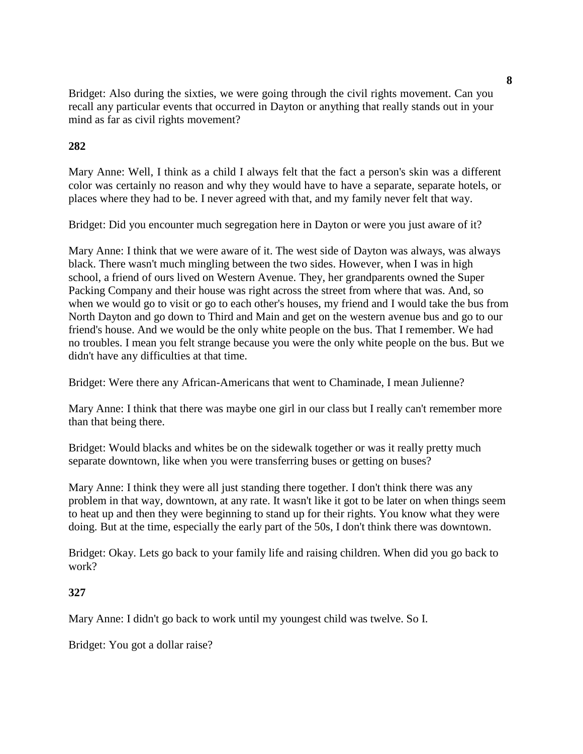Bridget: Also during the sixties, we were going through the civil rights movement. Can you recall any particular events that occurred in Dayton or anything that really stands out in your mind as far as civil rights movement?

## **282**

Mary Anne: Well, I think as a child I always felt that the fact a person's skin was a different color was certainly no reason and why they would have to have a separate, separate hotels, or places where they had to be. I never agreed with that, and my family never felt that way.

Bridget: Did you encounter much segregation here in Dayton or were you just aware of it?

Mary Anne: I think that we were aware of it. The west side of Dayton was always, was always black. There wasn't much mingling between the two sides. However, when I was in high school, a friend of ours lived on Western Avenue. They, her grandparents owned the Super Packing Company and their house was right across the street from where that was. And, so when we would go to visit or go to each other's houses, my friend and I would take the bus from North Dayton and go down to Third and Main and get on the western avenue bus and go to our friend's house. And we would be the only white people on the bus. That I remember. We had no troubles. I mean you felt strange because you were the only white people on the bus. But we didn't have any difficulties at that time.

Bridget: Were there any African-Americans that went to Chaminade, I mean Julienne?

Mary Anne: I think that there was maybe one girl in our class but I really can't remember more than that being there.

Bridget: Would blacks and whites be on the sidewalk together or was it really pretty much separate downtown, like when you were transferring buses or getting on buses?

Mary Anne: I think they were all just standing there together. I don't think there was any problem in that way, downtown, at any rate. It wasn't like it got to be later on when things seem to heat up and then they were beginning to stand up for their rights. You know what they were doing. But at the time, especially the early part of the 50s, I don't think there was downtown.

Bridget: Okay. Lets go back to your family life and raising children. When did you go back to work?

#### **327**

Mary Anne: I didn't go back to work until my youngest child was twelve. So I.

Bridget: You got a dollar raise?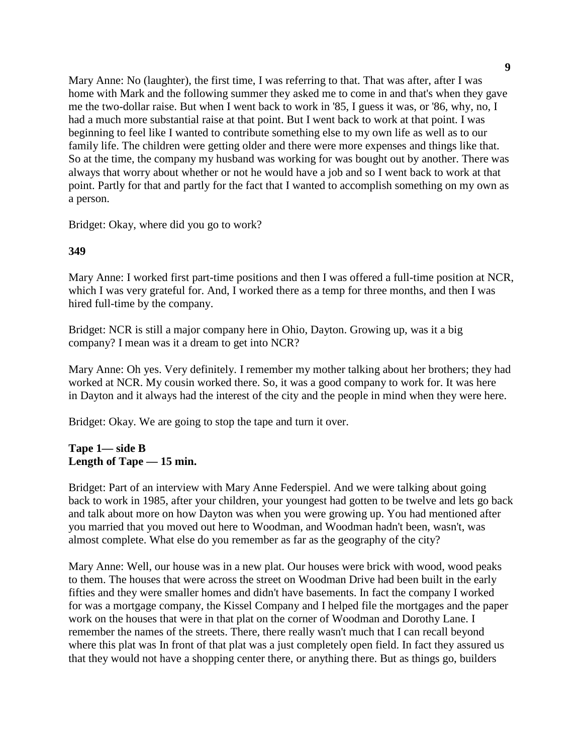Mary Anne: No (laughter), the first time, I was referring to that. That was after, after I was home with Mark and the following summer they asked me to come in and that's when they gave me the two-dollar raise. But when I went back to work in '85, I guess it was, or '86, why, no, I had a much more substantial raise at that point. But I went back to work at that point. I was beginning to feel like I wanted to contribute something else to my own life as well as to our family life. The children were getting older and there were more expenses and things like that. So at the time, the company my husband was working for was bought out by another. There was always that worry about whether or not he would have a job and so I went back to work at that point. Partly for that and partly for the fact that I wanted to accomplish something on my own as a person.

Bridget: Okay, where did you go to work?

## **349**

Mary Anne: I worked first part-time positions and then I was offered a full-time position at NCR, which I was very grateful for. And, I worked there as a temp for three months, and then I was hired full-time by the company.

Bridget: NCR is still a major company here in Ohio, Dayton. Growing up, was it a big company? I mean was it a dream to get into NCR?

Mary Anne: Oh yes. Very definitely. I remember my mother talking about her brothers; they had worked at NCR. My cousin worked there. So, it was a good company to work for. It was here in Dayton and it always had the interest of the city and the people in mind when they were here.

Bridget: Okay. We are going to stop the tape and turn it over.

## **Tape 1— side B Length of Tape — 15 min.**

Bridget: Part of an interview with Mary Anne Federspiel. And we were talking about going back to work in 1985, after your children, your youngest had gotten to be twelve and lets go back and talk about more on how Dayton was when you were growing up. You had mentioned after you married that you moved out here to Woodman, and Woodman hadn't been, wasn't, was almost complete. What else do you remember as far as the geography of the city?

Mary Anne: Well, our house was in a new plat. Our houses were brick with wood, wood peaks to them. The houses that were across the street on Woodman Drive had been built in the early fifties and they were smaller homes and didn't have basements. In fact the company I worked for was a mortgage company, the Kissel Company and I helped file the mortgages and the paper work on the houses that were in that plat on the corner of Woodman and Dorothy Lane. I remember the names of the streets. There, there really wasn't much that I can recall beyond where this plat was In front of that plat was a just completely open field. In fact they assured us that they would not have a shopping center there, or anything there. But as things go, builders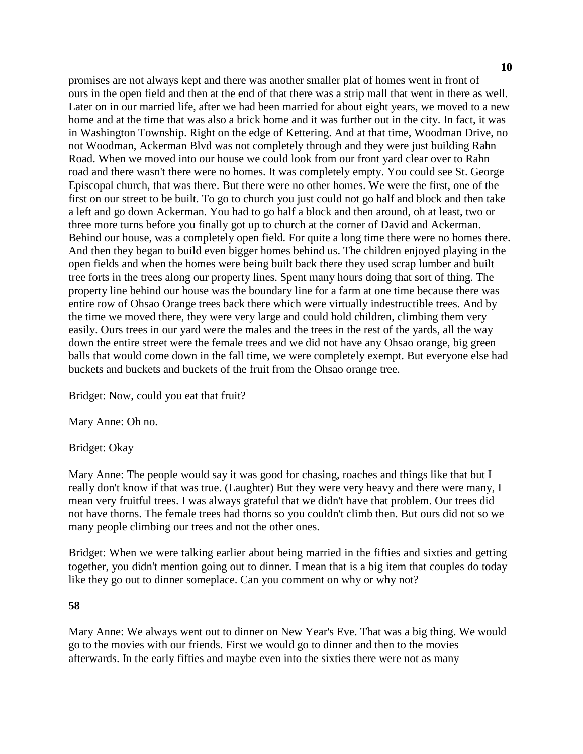promises are not always kept and there was another smaller plat of homes went in front of ours in the open field and then at the end of that there was a strip mall that went in there as well. Later on in our married life, after we had been married for about eight years, we moved to a new home and at the time that was also a brick home and it was further out in the city. In fact, it was in Washington Township. Right on the edge of Kettering. And at that time, Woodman Drive, no not Woodman, Ackerman Blvd was not completely through and they were just building Rahn Road. When we moved into our house we could look from our front yard clear over to Rahn road and there wasn't there were no homes. It was completely empty. You could see St. George Episcopal church, that was there. But there were no other homes. We were the first, one of the first on our street to be built. To go to church you just could not go half and block and then take a left and go down Ackerman. You had to go half a block and then around, oh at least, two or three more turns before you finally got up to church at the corner of David and Ackerman. Behind our house, was a completely open field. For quite a long time there were no homes there. And then they began to build even bigger homes behind us. The children enjoyed playing in the open fields and when the homes were being built back there they used scrap lumber and built tree forts in the trees along our property lines. Spent many hours doing that sort of thing. The property line behind our house was the boundary line for a farm at one time because there was entire row of Ohsao Orange trees back there which were virtually indestructible trees. And by the time we moved there, they were very large and could hold children, climbing them very easily. Ours trees in our yard were the males and the trees in the rest of the yards, all the way down the entire street were the female trees and we did not have any Ohsao orange, big green balls that would come down in the fall time, we were completely exempt. But everyone else had buckets and buckets and buckets of the fruit from the Ohsao orange tree.

Bridget: Now, could you eat that fruit?

Mary Anne: Oh no.

Bridget: Okay

Mary Anne: The people would say it was good for chasing, roaches and things like that but I really don't know if that was true. (Laughter) But they were very heavy and there were many, I mean very fruitful trees. I was always grateful that we didn't have that problem. Our trees did not have thorns. The female trees had thorns so you couldn't climb then. But ours did not so we many people climbing our trees and not the other ones.

Bridget: When we were talking earlier about being married in the fifties and sixties and getting together, you didn't mention going out to dinner. I mean that is a big item that couples do today like they go out to dinner someplace. Can you comment on why or why not?

#### **58**

Mary Anne: We always went out to dinner on New Year's Eve. That was a big thing. We would go to the movies with our friends. First we would go to dinner and then to the movies afterwards. In the early fifties and maybe even into the sixties there were not as many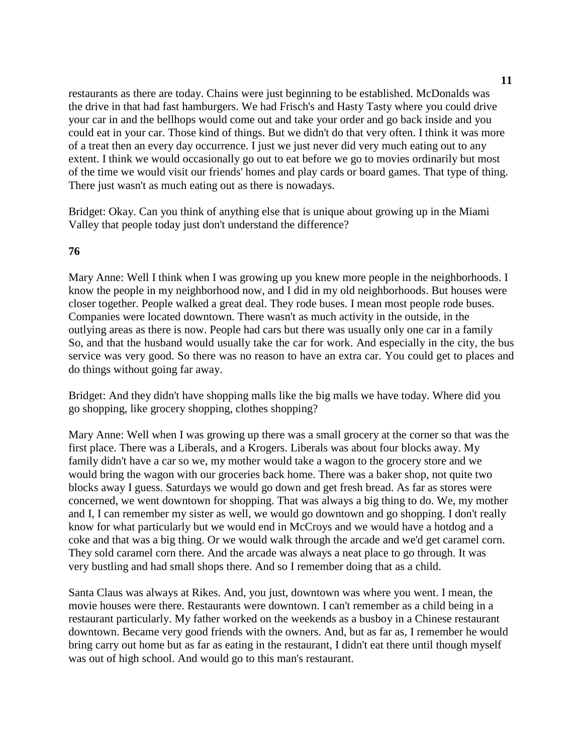restaurants as there are today. Chains were just beginning to be established. McDonalds was the drive in that had fast hamburgers. We had Frisch's and Hasty Tasty where you could drive your car in and the bellhops would come out and take your order and go back inside and you could eat in your car. Those kind of things. But we didn't do that very often. I think it was more of a treat then an every day occurrence. I just we just never did very much eating out to any extent. I think we would occasionally go out to eat before we go to movies ordinarily but most of the time we would visit our friends' homes and play cards or board games. That type of thing. There just wasn't as much eating out as there is nowadays.

Bridget: Okay. Can you think of anything else that is unique about growing up in the Miami Valley that people today just don't understand the difference?

#### **76**

Mary Anne: Well I think when I was growing up you knew more people in the neighborhoods. I know the people in my neighborhood now, and I did in my old neighborhoods. But houses were closer together. People walked a great deal. They rode buses. I mean most people rode buses. Companies were located downtown. There wasn't as much activity in the outside, in the outlying areas as there is now. People had cars but there was usually only one car in a family So, and that the husband would usually take the car for work. And especially in the city, the bus service was very good. So there was no reason to have an extra car. You could get to places and do things without going far away.

Bridget: And they didn't have shopping malls like the big malls we have today. Where did you go shopping, like grocery shopping, clothes shopping?

Mary Anne: Well when I was growing up there was a small grocery at the corner so that was the first place. There was a Liberals, and a Krogers. Liberals was about four blocks away. My family didn't have a car so we, my mother would take a wagon to the grocery store and we would bring the wagon with our groceries back home. There was a baker shop, not quite two blocks away I guess. Saturdays we would go down and get fresh bread. As far as stores were concerned, we went downtown for shopping. That was always a big thing to do. We, my mother and I, I can remember my sister as well, we would go downtown and go shopping. I don't really know for what particularly but we would end in McCroys and we would have a hotdog and a coke and that was a big thing. Or we would walk through the arcade and we'd get caramel corn. They sold caramel corn there. And the arcade was always a neat place to go through. It was very bustling and had small shops there. And so I remember doing that as a child.

Santa Claus was always at Rikes. And, you just, downtown was where you went. I mean, the movie houses were there. Restaurants were downtown. I can't remember as a child being in a restaurant particularly. My father worked on the weekends as a busboy in a Chinese restaurant downtown. Became very good friends with the owners. And, but as far as, I remember he would bring carry out home but as far as eating in the restaurant, I didn't eat there until though myself was out of high school. And would go to this man's restaurant.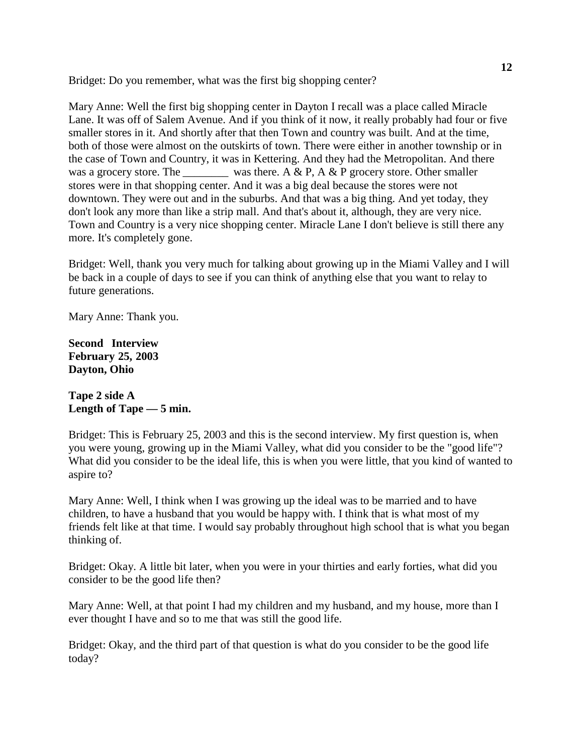Bridget: Do you remember, what was the first big shopping center?

Mary Anne: Well the first big shopping center in Dayton I recall was a place called Miracle Lane. It was off of Salem Avenue. And if you think of it now, it really probably had four or five smaller stores in it. And shortly after that then Town and country was built. And at the time, both of those were almost on the outskirts of town. There were either in another township or in the case of Town and Country, it was in Kettering. And they had the Metropolitan. And there was a grocery store. The was there. A & P, A & P grocery store. Other smaller stores were in that shopping center. And it was a big deal because the stores were not downtown. They were out and in the suburbs. And that was a big thing. And yet today, they don't look any more than like a strip mall. And that's about it, although, they are very nice. Town and Country is a very nice shopping center. Miracle Lane I don't believe is still there any more. It's completely gone.

Bridget: Well, thank you very much for talking about growing up in the Miami Valley and I will be back in a couple of days to see if you can think of anything else that you want to relay to future generations.

Mary Anne: Thank you.

**Second Interview February 25, 2003 Dayton, Ohio**

## **Tape 2 side A Length of Tape — 5 min.**

Bridget: This is February 25, 2003 and this is the second interview. My first question is, when you were young, growing up in the Miami Valley, what did you consider to be the "good life"? What did you consider to be the ideal life, this is when you were little, that you kind of wanted to aspire to?

Mary Anne: Well, I think when I was growing up the ideal was to be married and to have children, to have a husband that you would be happy with. I think that is what most of my friends felt like at that time. I would say probably throughout high school that is what you began thinking of.

Bridget: Okay. A little bit later, when you were in your thirties and early forties, what did you consider to be the good life then?

Mary Anne: Well, at that point I had my children and my husband, and my house, more than I ever thought I have and so to me that was still the good life.

Bridget: Okay, and the third part of that question is what do you consider to be the good life today?